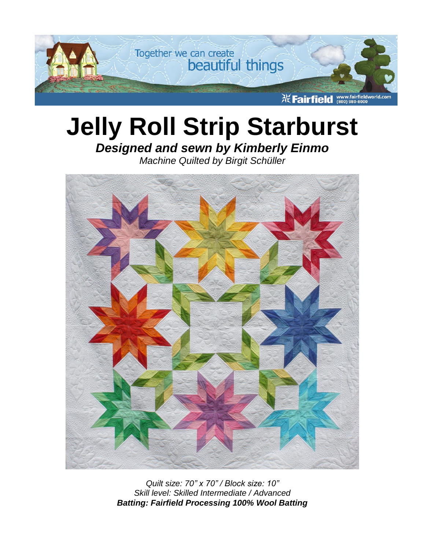

# **Jelly Roll Strip Starburst**

# *Designed and sewn by Kimberly Einmo*

*Machine Quilted by Birgit Schüller*



*Quilt size: 70" x 70" / Block size: 10" Skill level: Skilled Intermediate / Advanced Batting: Fairfield Processing 100% Wool Batting*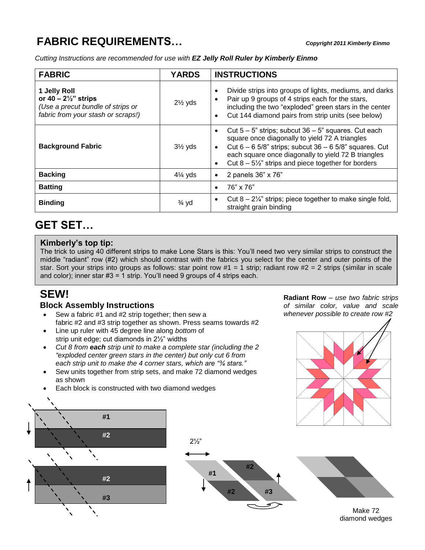# **FABRIC REQUIREMENTS…** *Copyright 2011 Kimberly Einmo*

*Cutting Instructions are recommended for use with EZ Jelly Roll Ruler by Kimberly Einmo*

| <b>FABRIC</b>                                                                                                              | <b>YARDS</b>       | <b>INSTRUCTIONS</b>                                                                                                                                                                                                                                                                                                                       |
|----------------------------------------------------------------------------------------------------------------------------|--------------------|-------------------------------------------------------------------------------------------------------------------------------------------------------------------------------------------------------------------------------------------------------------------------------------------------------------------------------------------|
| 1 Jelly Roll<br>or $40 - 2\frac{1}{2}$ " strips<br>(Use a precut bundle of strips or<br>fabric from your stash or scraps!) | $2\frac{1}{2}$ yds | Divide strips into groups of lights, mediums, and darks<br>$\bullet$<br>Pair up 9 groups of 4 strips each for the stars,<br>$\bullet$<br>including the two "exploded" green stars in the center<br>Cut 144 diamond pairs from strip units (see below)<br>$\bullet$                                                                        |
| <b>Background Fabric</b>                                                                                                   | $3\frac{1}{2}$ yds | Cut $5 - 5$ " strips; subcut $36 - 5$ " squares. Cut each<br>$\bullet$<br>square once diagonally to yield 72 A triangles<br>Cut $6 - 6$ 5/8" strips; subcut $36 - 6$ 5/8" squares. Cut<br>$\bullet$<br>each square once diagonally to yield 72 B triangles<br>Cut $8 - 5\frac{1}{2}$ " strips and piece together for borders<br>$\bullet$ |
| <b>Backing</b>                                                                                                             | $4\frac{1}{4}$ yds | 2 panels 36" x 76"<br>٠                                                                                                                                                                                                                                                                                                                   |
| <b>Batting</b>                                                                                                             |                    | 76" x 76"<br>$\bullet$                                                                                                                                                                                                                                                                                                                    |
| <b>Binding</b>                                                                                                             | $\frac{3}{4}$ yd   | Cut $8 - 2\frac{1}{4}$ " strips; piece together to make single fold,<br>$\bullet$<br>straight grain binding                                                                                                                                                                                                                               |

## **GET SET…**

#### **Kimberly's top tip:**

The trick to using 40 different strips to make Lone Stars is this: You'll need two very similar strips to construct the middle "radiant" row (#2) which should contrast with the fabrics you select for the center and outer points of the star. Sort your strips into groups as follows: star point row  $#1 = 1$  strip; radiant row  $#2 = 2$  strips (similar in scale and color); inner star #3 = 1 strip. You'll need 9 groups of 4 strips each.

## **SEW!**

#### **Block Assembly Instructions**

- Sew a fabric #1 and #2 strip together; then sew a fabric #2 and #3 strip together as shown. Press seams towards #2
- Line up ruler with 45 degree line along *bottom* of strip unit edge; cut diamonds in 2½" widths
- *Cut 8 from each strip unit to make a complete star (including the 2 "exploded center green stars in the center) but only cut 6 from each strip unit to make the 4 corner stars, which are "¾ stars."*
- Sew units together from strip sets, and make 72 diamond wedges as shown
- Each block is constructed with two diamond wedges









Make 72 diamond wedges